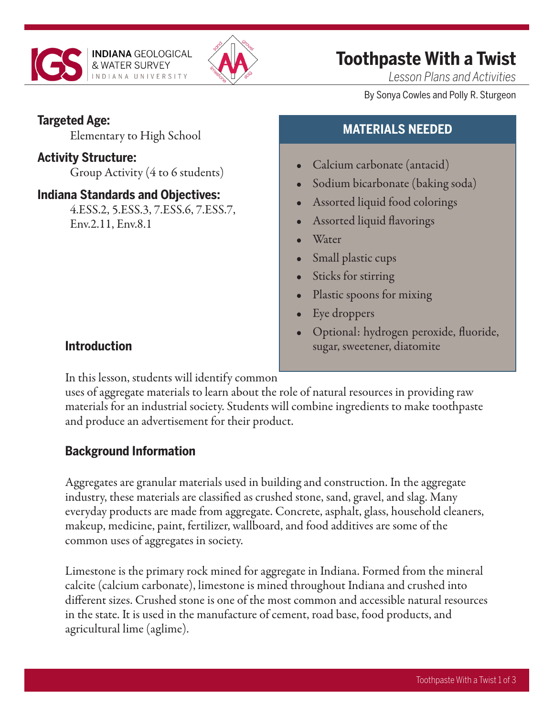



## **Toothpaste With a Twist**

**MATERIALS NEEDED**

Sodium bicarbonate (baking soda)

• Calcium carbonate (antacid)

• Assorted liquid food colorings

• Assorted liquid flavorings

*Lesson Plans and Activities*

By Sonya Cowles and Polly R. Sturgeon

#### **Targeted Age:**

Elementary to High School

#### **Activity Structure:**

Group Activity (4 to 6 students)

#### **Indiana Standards and Objectives:**

4.ESS.2, 5.ESS.3, 7.ESS.6, 7.ESS.7, Env.2.11, Env.8.1

### • Small plastic cups

**Water** 

- Sticks for stirring
- Plastic spoons for mixing
- Eye droppers
- Optional: hydrogen peroxide, fluoride, sugar, sweetener, diatomite

#### **Introduction**

In this lesson, students will identify common

uses of aggregate materials to learn about the role of natural resources in providing raw materials for an industrial society. Students will combine ingredients to make toothpaste and produce an advertisement for their product.

### **Background Information**

Aggregates are granular materials used in building and construction. In the aggregate industry, these materials are classified as crushed stone, sand, gravel, and slag. Many everyday products are made from aggregate. Concrete, asphalt, glass, household cleaners, makeup, medicine, paint, fertilizer, wallboard, and food additives are some of the common uses of aggregates in society.

Limestone is the primary rock mined for aggregate in Indiana. Formed from the mineral calcite (calcium carbonate), limestone is mined throughout Indiana and crushed into different sizes. Crushed stone is one of the most common and accessible natural resources in the state. It is used in the manufacture of cement, road base, food products, and agricultural lime (aglime).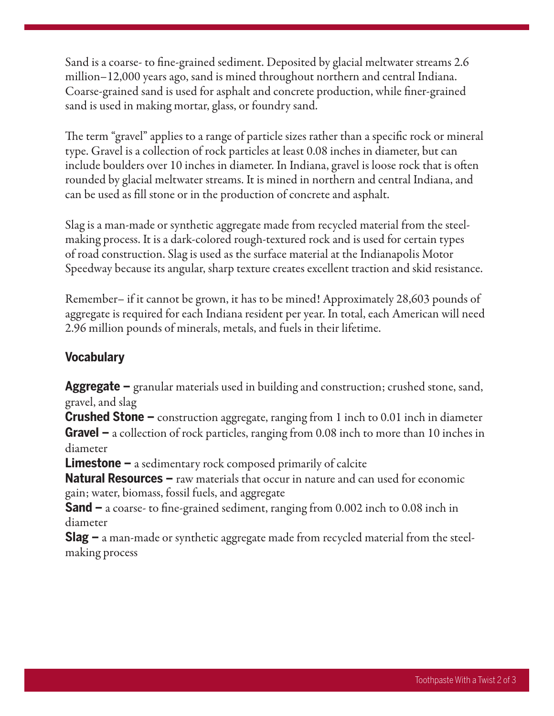Sand is a coarse- to fine-grained sediment. Deposited by glacial meltwater streams 2.6 million–12,000 years ago, sand is mined throughout northern and central Indiana. Coarse-grained sand is used for asphalt and concrete production, while finer-grained sand is used in making mortar, glass, or foundry sand.

The term "gravel" applies to a range of particle sizes rather than a specific rock or mineral type. Gravel is a collection of rock particles at least 0.08 inches in diameter, but can include boulders over 10 inches in diameter. In Indiana, gravel is loose rock that is often rounded by glacial meltwater streams. It is mined in northern and central Indiana, and can be used as fill stone or in the production of concrete and asphalt.

Slag is a man-made or synthetic aggregate made from recycled material from the steelmaking process. It is a dark-colored rough-textured rock and is used for certain types of road construction. Slag is used as the surface material at the Indianapolis Motor Speedway because its angular, sharp texture creates excellent traction and skid resistance.

Remember– if it cannot be grown, it has to be mined! Approximately 28,603 pounds of aggregate is required for each Indiana resident per year. In total, each American will need 2.96 million pounds of minerals, metals, and fuels in their lifetime.

#### **Vocabulary**

**Aggregate –** granular materials used in building and construction; crushed stone, sand, gravel, and slag

**Crushed Stone –** construction aggregate, ranging from 1 inch to 0.01 inch in diameter **Gravel –** a collection of rock particles, ranging from 0.08 inch to more than 10 inches in diameter

**Limestone –** a sedimentary rock composed primarily of calcite

**Natural Resources –** raw materials that occur in nature and can used for economic gain; water, biomass, fossil fuels, and aggregate

**Sand –** a coarse- to fine-grained sediment, ranging from 0.002 inch to 0.08 inch in diameter

**Slag –** a man-made or synthetic aggregate made from recycled material from the steelmaking process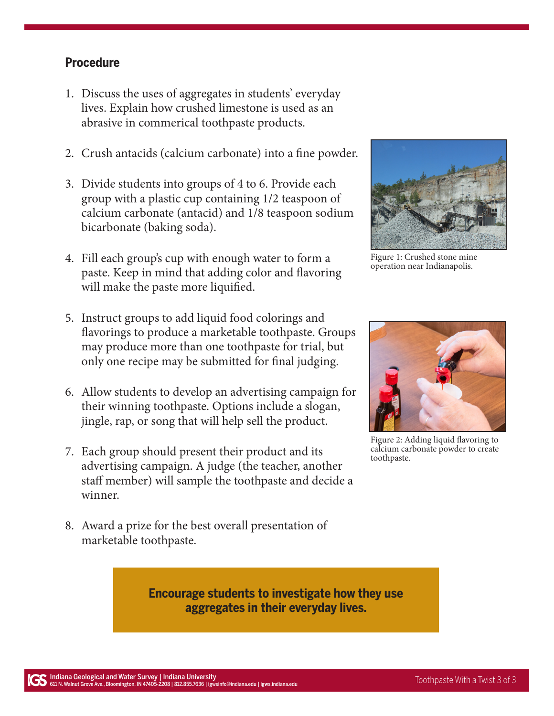#### **Procedure**

- 1. Discuss the uses of aggregates in students' everyday lives. Explain how crushed limestone is used as an abrasive in commerical toothpaste products.
- 2. Crush antacids (calcium carbonate) into a fine powder.
- 3. Divide students into groups of 4 to 6. Provide each group with a plastic cup containing 1/2 teaspoon of calcium carbonate (antacid) and 1/8 teaspoon sodium bicarbonate (baking soda).
- 4. Fill each group's cup with enough water to form a paste. Keep in mind that adding color and flavoring will make the paste more liquified.



Figure 1: Crushed stone mine operation near Indianapolis.

- 5. Instruct groups to add liquid food colorings and flavorings to produce a marketable toothpaste. Groups may produce more than one toothpaste for trial, but only one recipe may be submitted for final judging.
- 6. Allow students to develop an advertising campaign for their winning toothpaste. Options include a slogan, jingle, rap, or song that will help sell the product.
- 7. Each group should present their product and its advertising campaign. A judge (the teacher, another staff member) will sample the toothpaste and decide a winner.
- 8. Award a prize for the best overall presentation of marketable toothpaste.

**Encourage students to investigate how they use aggregates in their everyday lives.** 



Figure 2: Adding liquid flavoring to calcium carbonate powder to create toothpaste.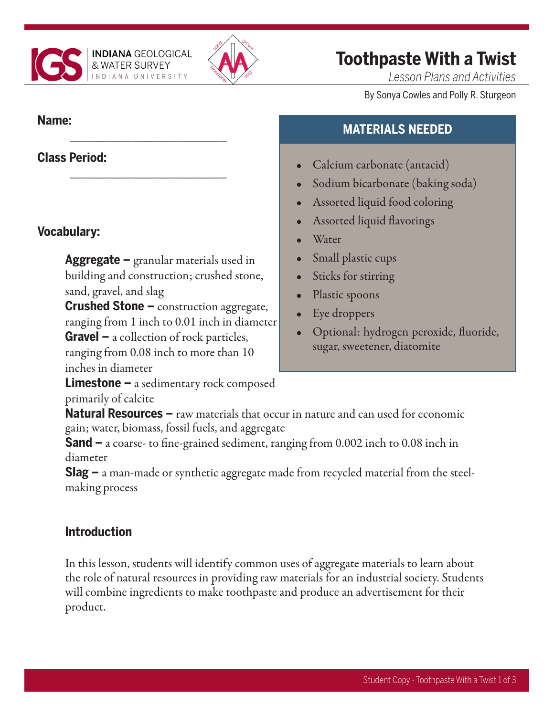

\_\_\_\_\_\_\_\_\_\_\_\_\_\_\_\_\_\_\_\_\_\_\_\_\_

\_\_\_\_\_\_\_\_\_\_\_\_\_\_\_\_\_\_\_\_\_\_\_\_\_



## **Toothpaste With a Twist**

*Lesson Plans and Activities*

By Sonya Cowles and Polly R. Sturgeon

#### **Name:**

#### **Class Period:**

#### **Vocabulary:**

**Aggregate –** granular materials used in building and construction; crushed stone, sand, gravel, and slag

**Crushed Stone –** construction aggregate, ranging from 1 inch to 0.01 inch in diameter **Gravel –** a collection of rock particles,

ranging from 0.08 inch to more than 10 inches in diameter

**Limestone –** a sedimentary rock composed primarily of calcite

#### **Natural Resources –** raw materials that occur in nature and can used for economic gain; water, biomass, fossil fuels, and aggregate

**Sand –** a coarse- to fine-grained sediment, ranging from 0.002 inch to 0.08 inch in diameter

**Slag –** a man-made or synthetic aggregate made from recycled material from the steelmaking process

#### **Introduction**

In this lesson, students will identify common uses of aggregate materials to learn about the role of natural resources in providing raw materials for an industrial society. Students will combine ingredients to make toothpaste and produce an advertisement for their product.

# **MATERIALS NEEDED**

- Calcium carbonate (antacid)
- Sodium bicarbonate (baking soda)
- Assorted liquid food coloring
- Assorted liquid flavorings
- **Water**
- Small plastic cups
- Sticks for stirring
- Plastic spoons
- Eye droppers
- Optional: hydrogen peroxide, fluoride, sugar, sweetener, diatomite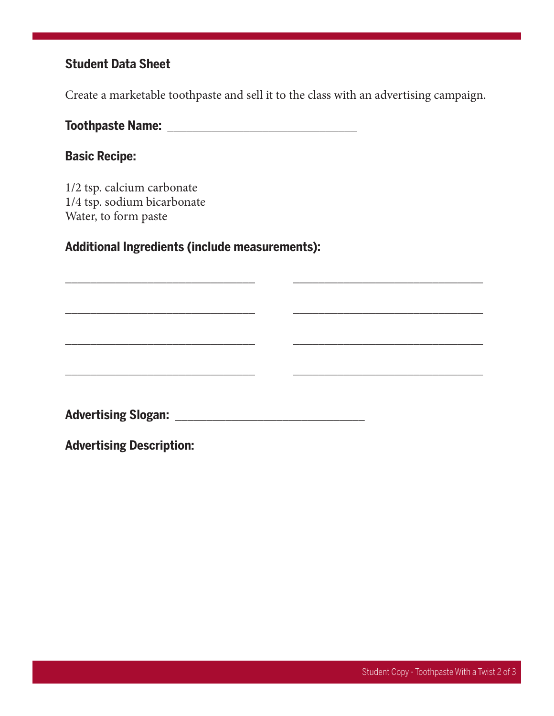#### **Student Data Sheet**

Create a marketable toothpaste and sell it to the class with an advertising campaign.

\_\_\_\_\_\_\_\_\_\_\_\_\_\_\_\_\_\_\_\_\_\_\_\_\_\_\_\_\_\_ \_\_\_\_\_\_\_\_\_\_\_\_\_\_\_\_\_\_\_\_\_\_\_\_\_\_\_\_\_\_

\_\_\_\_\_\_\_\_\_\_\_\_\_\_\_\_\_\_\_\_\_\_\_\_\_\_\_\_\_\_ \_\_\_\_\_\_\_\_\_\_\_\_\_\_\_\_\_\_\_\_\_\_\_\_\_\_\_\_\_\_

\_\_\_\_\_\_\_\_\_\_\_\_\_\_\_\_\_\_\_\_\_\_\_\_\_\_\_\_\_\_ \_\_\_\_\_\_\_\_\_\_\_\_\_\_\_\_\_\_\_\_\_\_\_\_\_\_\_\_\_\_

\_\_\_\_\_\_\_\_\_\_\_\_\_\_\_\_\_\_\_\_\_\_\_\_\_\_\_\_\_\_ \_\_\_\_\_\_\_\_\_\_\_\_\_\_\_\_\_\_\_\_\_\_\_\_\_\_\_\_\_\_

**Toothpaste Name:** \_\_\_\_\_\_\_\_\_\_\_\_\_\_\_\_\_\_\_\_\_\_\_\_\_\_\_\_\_\_

#### **Basic Recipe:**

1/2 tsp. calcium carbonate 1/4 tsp. sodium bicarbonate Water, to form paste

#### **Additional Ingredients (include measurements):**

**Advertising Slogan:** \_\_\_\_\_\_\_\_\_\_\_\_\_\_\_\_\_\_\_\_\_\_\_\_\_\_\_\_\_\_

**Advertising Description:**